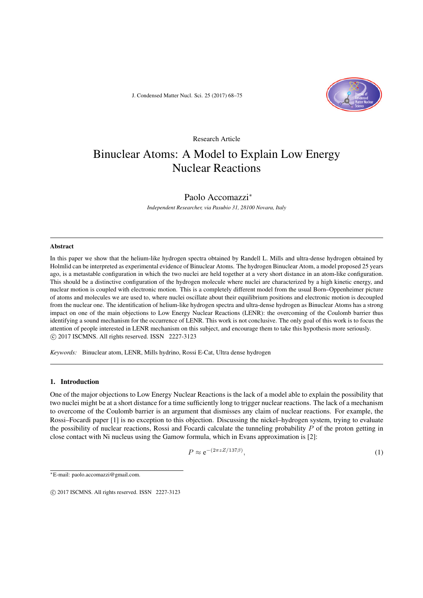J. Condensed Matter Nucl. Sci. 25 (2017) 68–75



# Research Article Binuclear Atoms: A Model to Explain Low Energy Nuclear Reactions

# Paolo Accomazzi*<sup>∗</sup>*

*Independent Researcher, via Pasubio 31, 28100 Novara, Italy*

#### Abstract

In this paper we show that the helium-like hydrogen spectra obtained by Randell L. Mills and ultra-dense hydrogen obtained by Holmlid can be interpreted as experimental evidence of Binuclear Atoms. The hydrogen Binuclear Atom, a model proposed 25 years ago, is a metastable configuration in which the two nuclei are held together at a very short distance in an atom-like configuration. This should be a distinctive configuration of the hydrogen molecule where nuclei are characterized by a high kinetic energy, and nuclear motion is coupled with electronic motion. This is a completely different model from the usual Born–Oppenheimer picture of atoms and molecules we are used to, where nuclei oscillate about their equilibrium positions and electronic motion is decoupled from the nuclear one. The identification of helium-like hydrogen spectra and ultra-dense hydrogen as Binuclear Atoms has a strong impact on one of the main objections to Low Energy Nuclear Reactions (LENR): the overcoming of the Coulomb barrier thus identifying a sound mechanism for the occurrence of LENR. This work is not conclusive. The only goal of this work is to focus the attention of people interested in LENR mechanism on this subject, and encourage them to take this hypothesis more seriously. *⃝*c 2017 ISCMNS. All rights reserved. ISSN 2227-3123

*Keywords:* Binuclear atom, LENR, Mills hydrino, Rossi E-Cat, Ultra dense hydrogen

## 1. Introduction

One of the major objections to Low Energy Nuclear Reactions is the lack of a model able to explain the possibility that two nuclei might be at a short distance for a time sufficiently long to trigger nuclear reactions. The lack of a mechanism to overcome of the Coulomb barrier is an argument that dismisses any claim of nuclear reactions. For example, the Rossi–Focardi paper [1] is no exception to this objection. Discussing the nickel–hydrogen system, trying to evaluate the possibility of nuclear reactions, Rossi and Focardi calculate the tunneling probability *P* of the proton getting in close contact with Ni nucleus using the Gamow formula, which in Evans approximation is [2]:

$$
P \approx \mathrm{e}^{-(2\pi z Z/137\beta)},\tag{1}
$$

*∗*E-mail: paolo.accomazzi@gmail.com.

*<sup>⃝</sup>*c 2017 ISCMNS. All rights reserved. ISSN 2227-3123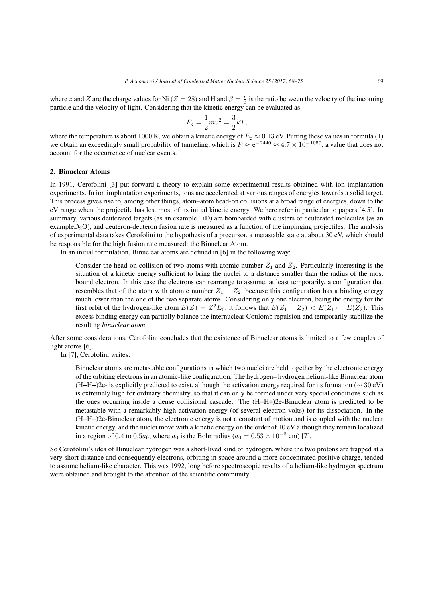where *z* and *Z* are the charge values for Ni (*Z* = 28) and H and  $\beta = \frac{v}{c}$  is the ratio between the velocity of the incoming particle and the velocity of light. Considering that the kinetic energy can be evaluated as

$$
E_{\rm c} = \frac{1}{2}mv^2 = \frac{3}{2}kT,
$$

where the temperature is about 1000 K, we obtain a kinetic energy of  $E_c \approx 0.13$  eV. Putting these values in formula (1) we obtain an exceedingly small probability of tunneling, which is *P ≈* e *<sup>−</sup>*<sup>2440</sup> *<sup>≈</sup>* <sup>4</sup>*.*<sup>7</sup> *<sup>×</sup>* <sup>10</sup>*−*1059, a value that does not account for the occurrence of nuclear events.

#### 2. Binuclear Atoms

In 1991, Cerofolini [3] put forward a theory to explain some experimental results obtained with ion implantation experiments. In ion implantation experiments, ions are accelerated at various ranges of energies towards a solid target. This process gives rise to, among other things, atom–atom head-on collisions at a broad range of energies, down to the eV range when the projectile has lost most of its initial kinetic energy. We here refer in particular to papers [4,5]. In summary, various deuterated targets (as an example TiD) are bombarded with clusters of deuterated molecules (as an example $D_2O$ ), and deuteron-deuteron fusion rate is measured as a function of the impinging projectiles. The analysis of experimental data takes Cerofolini to the hypothesis of a precursor, a metastable state at about 30 eV, which should be responsible for the high fusion rate measured: the Binuclear Atom.

In an initial formulation, Binuclear atoms are defined in [6] in the following way:

Consider the head-on collision of two atoms with atomic number  $Z_1$  and  $Z_2$ . Particularly interesting is the situation of a kinetic energy sufficient to bring the nuclei to a distance smaller than the radius of the most bound electron. In this case the electrons can rearrange to assume, at least temporarily, a configuration that resembles that of the atom with atomic number  $Z_1 + Z_2$ , because this configuration has a binding energy much lower than the one of the two separate atoms. Considering only one electron, being the energy for the first orbit of the hydrogen-like atom  $E(Z) = Z^2 E_0$ , it follows that  $E(Z_1 + Z_2) < E(Z_1) + E(Z_2)$ . This excess binding energy can partially balance the internuclear Coulomb repulsion and temporarily stabilize the resulting *binuclear atom*.

After some considerations, Cerofolini concludes that the existence of Binuclear atoms is limited to a few couples of light atoms [6].

In [7], Cerofolini writes:

Binuclear atoms are metastable configurations in which two nuclei are held together by the electronic energy of the orbiting electrons in an atomic-like configuration. The hydrogen– hydrogen helium-like Binuclear atom (H+H+)2e- is explicitly predicted to exist, although the activation energy required for its formation (*∼* 30 eV) is extremely high for ordinary chemistry, so that it can only be formed under very special conditions such as the ones occurring inside a dense collisional cascade. The (H+H+)2e-Binuclear atom is predicted to be metastable with a remarkably high activation energy (of several electron volts) for its dissociation. In the (H+H+)2e-Binuclear atom, the electronic energy is not a constant of motion and is coupled with the nuclear kinetic energy, and the nuclei move with a kinetic energy on the order of 10 eV although they remain localized in a region of 0.4 to 0.5 $a_0$ , where  $a_0$  is the Bohr radius ( $a_0 = 0.53 \times 10^{-8}$  cm) [7].

So Cerofolini's idea of Binuclear hydrogen was a short-lived kind of hydrogen, where the two protons are trapped at a very short distance and consequently electrons, orbiting in space around a more concentrated positive charge, tended to assume helium-like character. This was 1992, long before spectroscopic results of a helium-like hydrogen spectrum were obtained and brought to the attention of the scientific community.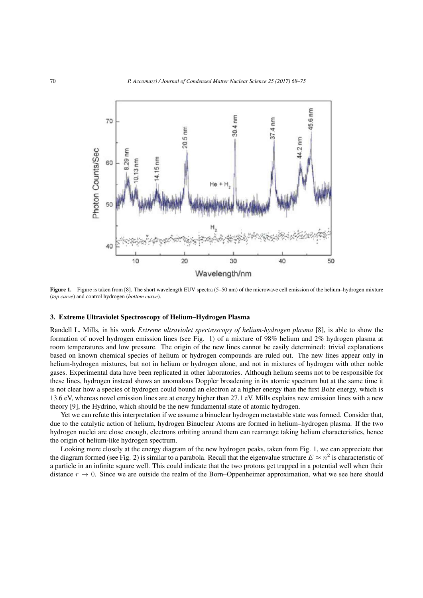

Figure 1. Figure is taken from [8]. The short wavelength EUV spectra (5–50 nm) of the microwave cell emission of the helium–hydrogen mixture (*top curve*) and control hydrogen (*bottom curve*).

#### 3. Extreme Ultraviolet Spectroscopy of Helium–Hydrogen Plasma

Randell L. Mills, in his work *Extreme ultraviolet spectroscopy of helium-hydrogen plasma* [8], is able to show the formation of novel hydrogen emission lines (see Fig. 1) of a mixture of 98% helium and 2% hydrogen plasma at room temperatures and low pressure. The origin of the new lines cannot be easily determined: trivial explanations based on known chemical species of helium or hydrogen compounds are ruled out. The new lines appear only in helium-hydrogen mixtures, but not in helium or hydrogen alone, and not in mixtures of hydrogen with other noble gases. Experimental data have been replicated in other laboratories. Although helium seems not to be responsible for these lines, hydrogen instead shows an anomalous Doppler broadening in its atomic spectrum but at the same time it is not clear how a species of hydrogen could bound an electron at a higher energy than the first Bohr energy, which is 13.6 eV, whereas novel emission lines are at energy higher than 27.1 eV. Mills explains new emission lines with a new theory [9], the Hydrino, which should be the new fundamental state of atomic hydrogen.

Yet we can refute this interpretation if we assume a binuclear hydrogen metastable state was formed. Consider that, due to the catalytic action of helium, hydrogen Binuclear Atoms are formed in helium–hydrogen plasma. If the two hydrogen nuclei are close enough, electrons orbiting around them can rearrange taking helium characteristics, hence the origin of helium-like hydrogen spectrum.

Looking more closely at the energy diagram of the new hydrogen peaks, taken from Fig. 1, we can appreciate that the diagram formed (see Fig. 2) is similar to a parabola. Recall that the eigenvalue structure  $E \approx n^2$  is characteristic of a particle in an infinite square well. This could indicate that the two protons get trapped in a potential well when their distance  $r \to 0$ . Since we are outside the realm of the Born–Oppenheimer approximation, what we see here should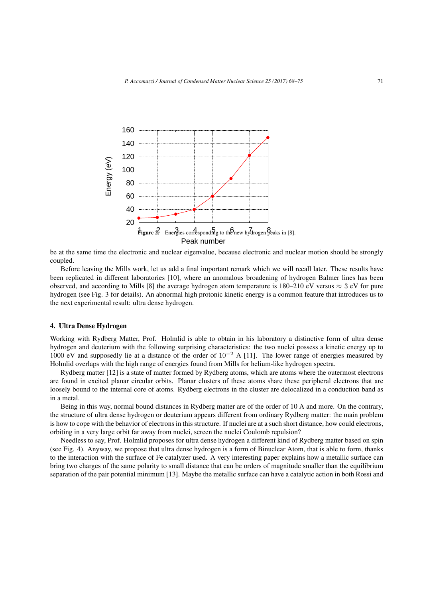

be at the same time the electronic and nuclear eigenvalue, because electronic and nuclear motion should be strongly coupled.

Before leaving the Mills work, let us add a final important remark which we will recall later. These results have been replicated in different laboratories [10], where an anomalous broadening of hydrogen Balmer lines has been observed, and according to Mills [8] the average hydrogen atom temperature is 180–210 eV versus  $\approx$  3 eV for pure hydrogen (see Fig. 3 for details). An abnormal high protonic kinetic energy is a common feature that introduces us to the next experimental result: ultra dense hydrogen.

#### 4. Ultra Dense Hydrogen

Working with Rydberg Matter, Prof. Holmlid is able to obtain in his laboratory a distinctive form of ultra dense hydrogen and deuterium with the following surprising characteristics: the two nuclei possess a kinetic energy up to 1000 eV and supposedly lie at a distance of the order of 10*−*<sup>2</sup> A [11]. The lower range of energies measured by Holmlid overlaps with the high range of energies found from Mills for helium-like hydrogen spectra.

Rydberg matter [12] is a state of matter formed by Rydberg atoms, which are atoms where the outermost electrons are found in excited planar circular orbits. Planar clusters of these atoms share these peripheral electrons that are loosely bound to the internal core of atoms. Rydberg electrons in the cluster are delocalized in a conduction band as in a metal.

Being in this way, normal bound distances in Rydberg matter are of the order of 10 A and more. On the contrary, the structure of ultra dense hydrogen or deuterium appears different from ordinary Rydberg matter: the main problem is how to cope with the behavior of electrons in this structure. If nuclei are at a such short distance, how could electrons, orbiting in a very large orbit far away from nuclei, screen the nuclei Coulomb repulsion?

Needless to say, Prof. Holmlid proposes for ultra dense hydrogen a different kind of Rydberg matter based on spin (see Fig. 4). Anyway, we propose that ultra dense hydrogen is a form of Binuclear Atom, that is able to form, thanks to the interaction with the surface of Fe catalyzer used. A very interesting paper explains how a metallic surface can bring two charges of the same polarity to small distance that can be orders of magnitude smaller than the equilibrium separation of the pair potential minimum [13]. Maybe the metallic surface can have a catalytic action in both Rossi and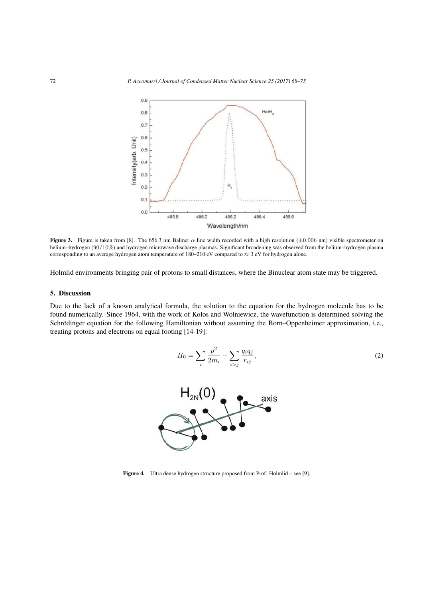

Figure 3. Figure is taken from [8]. The 656.3 nm Balmer *α* line width recorded with a high resolution (*±*0*.*006 nm) visible spectrometer on helium–hydrogen (90*/*10%) and hydrogen microwave discharge plasmas. Significant broadening was observed from the helium–hydrogen plasma corresponding to an average hydrogen atom temperature of 180–210 eV compared to *≈* 3 eV for hydrogen alone.

Holmlid environments bringing pair of protons to small distances, where the Binuclear atom state may be triggered.

## 5. Discussion

Due to the lack of a known analytical formula, the solution to the equation for the hydrogen molecule has to be found numerically. Since 1964, with the work of Kolos and Wolniewicz, the wavefunction is determined solving the Schrödinger equation for the following Hamiltonian without assuming the Born–Oppenheimer approximation, i.e., treating protons and electrons on equal footing [14-19]:

$$
H_0 = \sum_{i} \frac{p^2}{2m_i} + \sum_{i>j} \frac{q_i q_j}{r_{ij}},
$$
\n(2)



Figure 4. Ultra dense hydrogen structure proposed from Prof. Holmlid – see [9].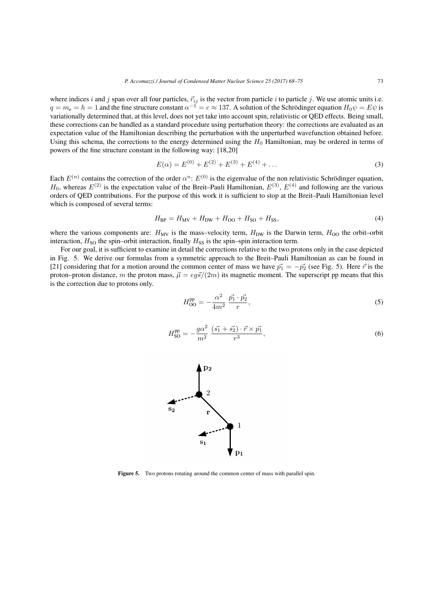where indices *i* and *j* span over all four particles,  $\vec{r}_{ij}$  is the vector from particle *i* to particle *j*. We use atomic units i.e.  $q = m_e = h = 1$  and the fine structure constant  $\alpha^{-1} = c \approx 137$ . A solution of the Schrödinger equation  $H_0 \psi = E \psi$  is variationally determined that, at this level, does not yet take into account spin, relativistic or QED effects. Being small, these corrections can be handled as a standard procedure using perturbation theory: the corrections are evaluated as an expectation value of the Hamiltonian describing the perturbation with the unperturbed wavefunction obtained before. Using this schema, the corrections to the energy determined using the  $H_0$  Hamiltonian, may be ordered in terms of powers of the fine structure constant in the following way: [18,20]

$$
E(\alpha) = E^{(0)} + E^{(2)} + E^{(3)} + E^{(4)} + \dots
$$
\n(3)

Each  $E^{(n)}$  contains the correction of the order  $\alpha^n$ :  $E^{(0)}$  is the eigenvalue of the non relativistic Schrödinger equation,  $H_0$ , whereas  $E^{(2)}$  is the expectation value of the Breit–Pauli Hamiltonian,  $E^{(3)}$ ,  $E^{(4)}$  and following are the various orders of QED contributions. For the purpose of this work it is sufficient to stop at the Breit–Pauli Hamiltonian level which is composed of several terms:

$$
H_{\rm BP} = H_{\rm MV} + H_{\rm DW} + H_{\rm OO} + H_{\rm SO} + H_{\rm SS},\tag{4}
$$

where the various components are:  $H_{\text{MV}}$  is the mass–velocity term,  $H_{\text{DW}}$  is the Darwin term,  $H_{\text{OO}}$  the orbit–orbit interaction,  $H_{SO}$  the spin–orbit interaction, finally  $H_{SS}$  is the spin–spin interaction term.

For our goal, it is sufficient to examine in detail the corrections relative to the two protons only in the case depicted in Fig. 5. We derive our formulas from a symmetric approach to the Breit–Pauli Hamiltonian as can be found in [21] considering that for a motion around the common center of mass we have  $\vec{p_1} = -\vec{p_2}$  (see Fig. 5). Here  $\vec{r}$  is the proton–proton distance, *m* the proton mass,  $\vec{\mu} = eg\vec{s}/(2m)$  its magnetic moment. The superscript pp means that this is the correction due to protons only.

$$
H_{\rm OO}^{\rm pp} = -\frac{\alpha^2}{4m^2} \frac{\vec{p_1} \cdot \vec{p_2}}{r},\tag{5}
$$

$$
H_{\rm SO}^{\rm pp} = -\frac{g\alpha^2}{m^2} \frac{(\vec{s_1} + \vec{s_2}) \cdot \vec{r} \times \vec{p_1}}{r^3},\tag{6}
$$



Figure 5. Two protons rotating around the common center of mass with parallel spin.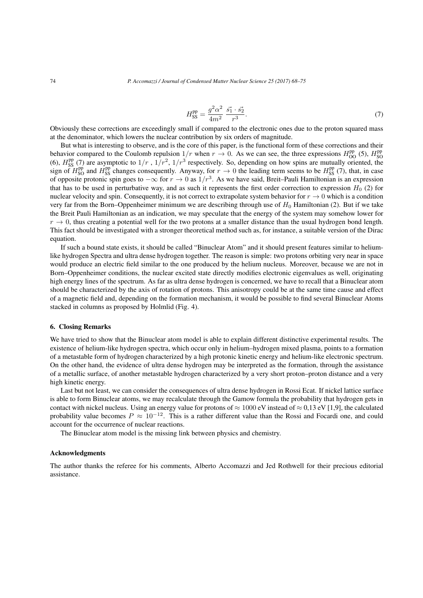$$
H_{\rm SS}^{\rm pp} = \frac{g^2 \alpha^2}{4m^2} \frac{\vec{s_1} \cdot \vec{s_2}}{r^3}.
$$
 (7)

Obviously these corrections are exceedingly small if compared to the electronic ones due to the proton squared mass at the denominator, which lowers the nuclear contribution by six orders of magnitude.

But what is interesting to observe, and is the core of this paper, is the functional form of these corrections and their behavior compared to the Coulomb repulsion  $1/r$  when  $r \to 0$ . As we can see, the three expressions  $H_{\text{OO}}^{\text{pp}}$  (5),  $H_{\text{SO}}^{\text{pp}}$ (6),  $H_{SS}^{pp}$  (7) are asymptotic to  $1/r$ ,  $1/r^2$ ,  $1/r^3$  respectively. So, depending on how spins are mutually oriented, the sign of  $H_{\text{SO}}^{\text{pp}}$  and  $H_{\text{SS}}^{\text{pp}}$  changes consequently. Anyway, for  $r \to 0$  the leading term seems to be  $H_{\text{SS}}^{\text{pp}}$  (7), that, in case of opposite protonic spin goes to *−∞* for *<sup>r</sup> <sup>→</sup>* <sup>0</sup> as <sup>1</sup>*/r*<sup>3</sup> . As we have said, Breit–Pauli Hamiltonian is an expression that has to be used in perturbative way, and as such it represents the first order correction to expression  $H_0$  (2) for nuclear velocity and spin. Consequently, it is not correct to extrapolate system behavior for  $r \to 0$  which is a condition very far from the Born–Oppenheimer minimum we are describing through use of *H*<sup>0</sup> Hamiltonian (2). But if we take the Breit Pauli Hamiltonian as an indication, we may speculate that the energy of the system may somehow lower for  $r \rightarrow 0$ , thus creating a potential well for the two protons at a smaller distance than the usual hydrogen bond length. This fact should be investigated with a stronger theoretical method such as, for instance, a suitable version of the Dirac equation.

If such a bound state exists, it should be called "Binuclear Atom" and it should present features similar to heliumlike hydrogen Spectra and ultra dense hydrogen together. The reason is simple: two protons orbiting very near in space would produce an electric field similar to the one produced by the helium nucleus. Moreover, because we are not in Born–Oppenheimer conditions, the nuclear excited state directly modifies electronic eigenvalues as well, originating high energy lines of the spectrum. As far as ultra dense hydrogen is concerned, we have to recall that a Binuclear atom should be characterized by the axis of rotation of protons. This anisotropy could be at the same time cause and effect of a magnetic field and, depending on the formation mechanism, it would be possible to find several Binuclear Atoms stacked in columns as proposed by Holmlid (Fig. 4).

### 6. Closing Remarks

We have tried to show that the Binuclear atom model is able to explain different distinctive experimental results. The existence of helium-like hydrogen spectra, which occur only in helium–hydrogen mixed plasma, points to a formation of a metastable form of hydrogen characterized by a high protonic kinetic energy and helium-like electronic spectrum. On the other hand, the evidence of ultra dense hydrogen may be interpreted as the formation, through the assistance of a metallic surface, of another metastable hydrogen characterized by a very short proton–proton distance and a very high kinetic energy.

Last but not least, we can consider the consequences of ultra dense hydrogen in Rossi Ecat. If nickel lattice surface is able to form Binuclear atoms, we may recalculate through the Gamow formula the probability that hydrogen gets in contact with nickel nucleus. Using an energy value for protons of *≈* 1000 eV instead of *≈* 0,13 eV [1,9], the calculated probability value becomes  $P \approx 10^{-12}$ . This is a rather different value than the Rossi and Focardi one, and could account for the occurrence of nuclear reactions.

The Binuclear atom model is the missing link between physics and chemistry.

#### Acknowledgments

The author thanks the referee for his comments, Alberto Accomazzi and Jed Rothwell for their precious editorial assistance.